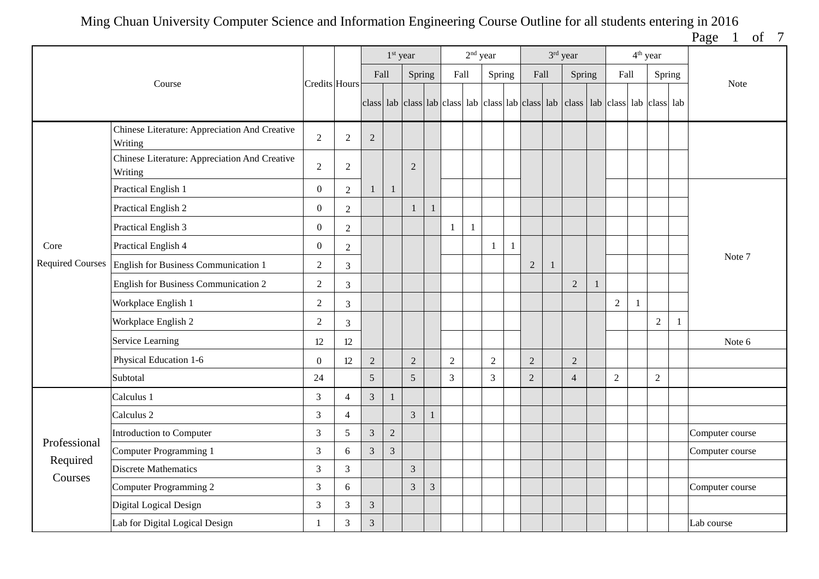Page 1 of 7

|                         |                                                          |                  |                |                | 1 <sup>st</sup> year |                |                |                | $2nd$ year |              |              |                | 3rd year                                                                                  |                |              | $4th$ year     |              |                 |
|-------------------------|----------------------------------------------------------|------------------|----------------|----------------|----------------------|----------------|----------------|----------------|------------|--------------|--------------|----------------|-------------------------------------------------------------------------------------------|----------------|--------------|----------------|--------------|-----------------|
|                         | Course                                                   | Credits Hours    |                | Fall           |                      | Spring         |                | Fall           |            | Spring       |              | Fall           | Spring                                                                                    | Fall           |              |                | Spring       | Note            |
|                         |                                                          |                  |                |                |                      |                |                |                |            |              |              |                | class lab class lab class lab class lab class lab class lab class lab class lab class lab |                |              |                |              |                 |
|                         | Chinese Literature: Appreciation And Creative<br>Writing | $\sqrt{2}$       | $\sqrt{2}$     | $\sqrt{2}$     |                      |                |                |                |            |              |              |                |                                                                                           |                |              |                |              |                 |
|                         | Chinese Literature: Appreciation And Creative<br>Writing | $\overline{2}$   | $\overline{2}$ |                |                      | $\overline{2}$ |                |                |            |              |              |                |                                                                                           |                |              |                |              |                 |
|                         | Practical English 1                                      | $\boldsymbol{0}$ | $\overline{2}$ | $\mathbf{1}$   | $\mathbf{1}$         |                |                |                |            |              |              |                |                                                                                           |                |              |                |              |                 |
|                         | Practical English 2                                      | $\boldsymbol{0}$ | $\sqrt{2}$     |                |                      | $\mathbf{1}$   |                |                |            |              |              |                |                                                                                           |                |              |                |              |                 |
|                         | Practical English 3                                      | $\boldsymbol{0}$ | $\sqrt{2}$     |                |                      |                |                | -1             | -1         |              |              |                |                                                                                           |                |              |                |              |                 |
| Core                    | Practical English 4                                      | $\boldsymbol{0}$ | $\sqrt{2}$     |                |                      |                |                |                |            |              | $\mathbf{1}$ |                |                                                                                           |                |              |                |              |                 |
| <b>Required Courses</b> | English for Business Communication 1                     | 2                | 3              |                |                      |                |                |                |            |              |              | $\sqrt{2}$     |                                                                                           |                |              |                |              | Note 7          |
|                         | English for Business Communication 2                     | $\mathbf{2}$     | 3              |                |                      |                |                |                |            |              |              |                | $\overline{2}$                                                                            |                |              |                |              |                 |
|                         | Workplace English 1                                      | $\boldsymbol{2}$ | 3              |                |                      |                |                |                |            |              |              |                |                                                                                           | $\sqrt{2}$     | $\mathbf{1}$ |                |              |                 |
|                         | Workplace English 2                                      | $\boldsymbol{2}$ | 3              |                |                      |                |                |                |            |              |              |                |                                                                                           |                |              | $\sqrt{2}$     | $\mathbf{1}$ |                 |
|                         | Service Learning                                         | 12               | $12\,$         |                |                      |                |                |                |            |              |              |                |                                                                                           |                |              |                |              | Note 6          |
|                         | Physical Education 1-6                                   | $\boldsymbol{0}$ | 12             | $\sqrt{2}$     |                      | $\mathbf{2}$   |                | $\overline{2}$ |            | $\mathbf{2}$ |              | $\overline{2}$ | $\overline{2}$                                                                            |                |              |                |              |                 |
|                         | Subtotal                                                 | 24               |                | 5              |                      | 5              |                | $\overline{3}$ |            | 3            |              | $\overline{2}$ | $\overline{4}$                                                                            | $\overline{2}$ |              | $\overline{2}$ |              |                 |
|                         | Calculus 1                                               | $\mathfrak{Z}$   | $\overline{4}$ | $\mathfrak{Z}$ | $\mathbf{1}$         |                |                |                |            |              |              |                |                                                                                           |                |              |                |              |                 |
|                         | Calculus 2                                               | 3                | $\overline{4}$ |                |                      | $\overline{3}$ |                |                |            |              |              |                |                                                                                           |                |              |                |              |                 |
| Professional            | Introduction to Computer                                 | $\mathfrak{Z}$   | 5              | 3              | $\overline{2}$       |                |                |                |            |              |              |                |                                                                                           |                |              |                |              | Computer course |
| Required                | Computer Programming 1                                   | $\mathfrak{Z}$   | 6              | $\mathfrak{Z}$ | $\overline{3}$       |                |                |                |            |              |              |                |                                                                                           |                |              |                |              | Computer course |
| Courses                 | <b>Discrete Mathematics</b>                              | $\mathfrak{Z}$   | $\overline{3}$ |                |                      | $\overline{3}$ |                |                |            |              |              |                |                                                                                           |                |              |                |              |                 |
|                         | Computer Programming 2                                   | 3                | 6              |                |                      | 3              | $\mathfrak{Z}$ |                |            |              |              |                |                                                                                           |                |              |                |              | Computer course |
|                         | Digital Logical Design                                   | 3                | $\mathfrak{Z}$ | $\mathfrak{Z}$ |                      |                |                |                |            |              |              |                |                                                                                           |                |              |                |              |                 |
|                         | Lab for Digital Logical Design                           | $\mathbf{1}$     | $\mathfrak{Z}$ | $\mathfrak{Z}$ |                      |                |                |                |            |              |              |                |                                                                                           |                |              |                |              | Lab course      |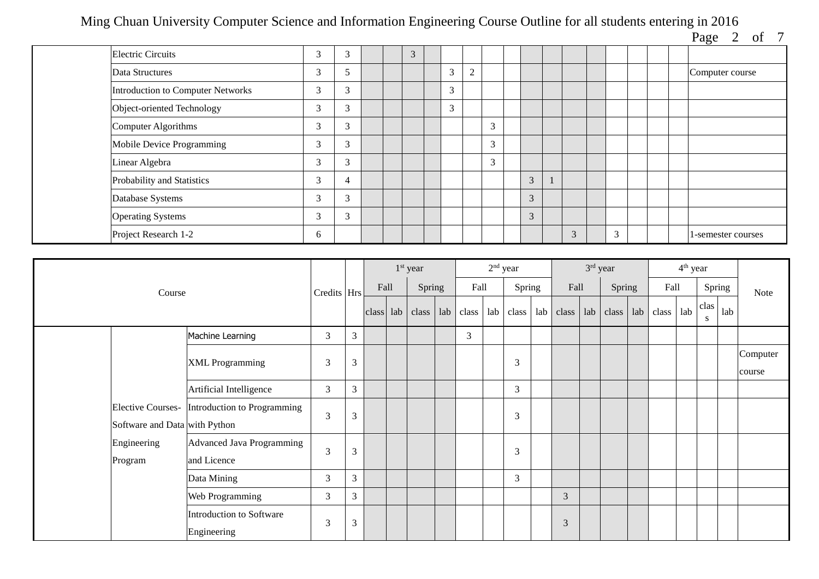Page 2 of 7

|                                          |             |                          |  |   |   |                |   |   |   |   |  | $\sigma$           |
|------------------------------------------|-------------|--------------------------|--|---|---|----------------|---|---|---|---|--|--------------------|
| <b>Electric Circuits</b>                 | 3           | 3                        |  | 3 |   |                |   |   |   |   |  |                    |
| Data Structures                          | 3           |                          |  |   | 3 | $\overline{2}$ |   |   |   |   |  | Computer course    |
| <b>Introduction to Computer Networks</b> | 3           | 3                        |  |   | 3 |                |   |   |   |   |  |                    |
| Object-oriented Technology               | 3           | 3                        |  |   | 3 |                |   |   |   |   |  |                    |
| Computer Algorithms                      | $\sim$<br>Ć | $\sim$<br>$\mathfrak{I}$ |  |   |   |                | 3 |   |   |   |  |                    |
| Mobile Device Programming                | 3           | $\sim$<br>Ć              |  |   |   |                | 3 |   |   |   |  |                    |
| Linear Algebra                           | 3           | 3                        |  |   |   |                | 3 |   |   |   |  |                    |
| Probability and Statistics               | 3           | 4                        |  |   |   |                |   | 3 |   |   |  |                    |
| Database Systems                         | 3           | 3                        |  |   |   |                |   | 3 |   |   |  |                    |
| <b>Operating Systems</b>                 | 3           | 3                        |  |   |   |                |   | 3 |   |   |  |                    |
| Project Research 1-2                     | 6           |                          |  |   |   |                |   |   | 3 | 3 |  | l-semester courses |

|                               |                                               |             |                |      | 1 <sup>st</sup> year |     |       |     | $2nd$ year     |     |       | 3rd year |        |     |       | $4th$ year |           |        |                    |
|-------------------------------|-----------------------------------------------|-------------|----------------|------|----------------------|-----|-------|-----|----------------|-----|-------|----------|--------|-----|-------|------------|-----------|--------|--------------------|
| Course                        |                                               | Credits Hrs |                | Fall | Spring               |     | Fall  |     | Spring         |     | Fall  |          | Spring |     | Fall  |            |           | Spring | Note               |
|                               |                                               |             |                |      | class lab class      | lab | class | lab | class          | lab | class | lab      | class  | lab | class | lab        | clas<br>S | lab    |                    |
|                               | Machine Learning                              | 3           | $\overline{3}$ |      |                      |     | 3     |     |                |     |       |          |        |     |       |            |           |        |                    |
|                               | <b>XML Programming</b>                        | 3           | 3              |      |                      |     |       |     | 3              |     |       |          |        |     |       |            |           |        | Computer<br>course |
|                               | Artificial Intelligence                       | 3           | 3              |      |                      |     |       |     | $\mathfrak{Z}$ |     |       |          |        |     |       |            |           |        |                    |
| Software and Data with Python | Elective Courses- Introduction to Programming | 3           | 3              |      |                      |     |       |     | 3              |     |       |          |        |     |       |            |           |        |                    |
| Engineering<br>Program        | Advanced Java Programming<br>and Licence      | 3           | $\mathfrak{Z}$ |      |                      |     |       |     | 3              |     |       |          |        |     |       |            |           |        |                    |
|                               | Data Mining                                   | 3           | $\overline{3}$ |      |                      |     |       |     | 3              |     |       |          |        |     |       |            |           |        |                    |
| Web Programming               | 3                                             | 3           |                |      |                      |     |       |     |                | 3   |       |          |        |     |       |            |           |        |                    |
|                               | Introduction to Software<br>Engineering       | 3           | $\mathfrak{Z}$ |      |                      |     |       |     |                |     | 3     |          |        |     |       |            |           |        |                    |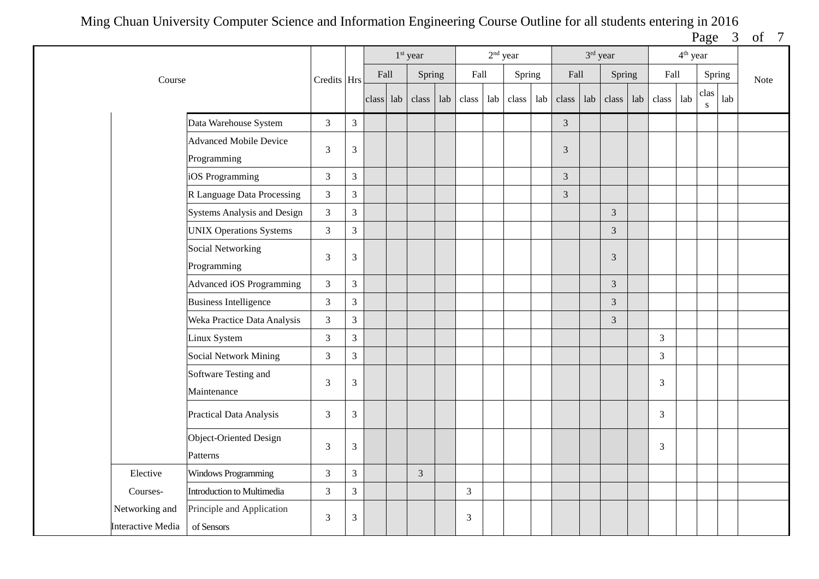Page 3 of 7

|                                                                                |                                    |                |                |           | 1 <sup>st</sup> year |      |       | $2nd$ year |       |      |                | 3rd year |                |                | 4 <sup>th</sup> year |                   |      |  |
|--------------------------------------------------------------------------------|------------------------------------|----------------|----------------|-----------|----------------------|------|-------|------------|-------|------|----------------|----------|----------------|----------------|----------------------|-------------------|------|--|
| Course                                                                         | Credits Hrs                        |                | Fall           | Spring    |                      | Fall |       | Spring     |       | Fall |                | Spring   | Fall           |                | Spring               |                   | Note |  |
|                                                                                |                                    |                |                | class lab | class                | lab  | class | lab        | class | lab  | class          | lab      | $class$ lab    | class lab      |                      | clas<br>${\bf S}$ | lab  |  |
|                                                                                | Data Warehouse System              | $\mathfrak{Z}$ | $\overline{3}$ |           |                      |      |       |            |       |      | $\overline{3}$ |          |                |                |                      |                   |      |  |
|                                                                                | <b>Advanced Mobile Device</b>      |                |                |           |                      |      |       |            |       |      |                |          |                |                |                      |                   |      |  |
|                                                                                | Programming                        | 3              | $\mathfrak{Z}$ |           |                      |      |       |            |       |      | 3              |          |                |                |                      |                   |      |  |
|                                                                                | iOS Programming                    | $\sqrt{3}$     | $\mathfrak{Z}$ |           |                      |      |       |            |       |      | 3              |          |                |                |                      |                   |      |  |
|                                                                                | R Language Data Processing         | $\mathfrak{Z}$ | $\overline{3}$ |           |                      |      |       |            |       |      | 3              |          |                |                |                      |                   |      |  |
|                                                                                | <b>Systems Analysis and Design</b> | $\mathfrak{Z}$ | $\mathfrak{Z}$ |           |                      |      |       |            |       |      |                |          | 3              |                |                      |                   |      |  |
|                                                                                | <b>UNIX Operations Systems</b>     | $\mathfrak{Z}$ | $\overline{3}$ |           |                      |      |       |            |       |      |                |          | $\mathfrak{Z}$ |                |                      |                   |      |  |
| <b>Social Networking</b>                                                       |                                    |                |                |           |                      |      |       |            |       |      |                |          |                |                |                      |                   |      |  |
| Programming                                                                    |                                    | 3              | $\mathfrak{Z}$ |           |                      |      |       |            |       |      |                |          | 3              |                |                      |                   |      |  |
|                                                                                | Advanced iOS Programming           | $\mathfrak{Z}$ | $\mathfrak{Z}$ |           |                      |      |       |            |       |      |                |          | $\mathfrak{Z}$ |                |                      |                   |      |  |
|                                                                                | <b>Business Intelligence</b>       | $\mathfrak{Z}$ | $\overline{3}$ |           |                      |      |       |            |       |      |                |          | $\overline{3}$ |                |                      |                   |      |  |
|                                                                                | Weka Practice Data Analysis        | $\mathfrak{Z}$ | $\overline{3}$ |           |                      |      |       |            |       |      |                |          | $\mathfrak{Z}$ |                |                      |                   |      |  |
|                                                                                | Linux System                       | $\sqrt{3}$     | $\mathfrak{Z}$ |           |                      |      |       |            |       |      |                |          |                | $\mathfrak{Z}$ |                      |                   |      |  |
|                                                                                | <b>Social Network Mining</b>       | 3              | $\overline{3}$ |           |                      |      |       |            |       |      |                |          |                | $\mathfrak{Z}$ |                      |                   |      |  |
|                                                                                | Software Testing and               | 3              | $\mathfrak{Z}$ |           |                      |      |       |            |       |      |                |          |                | $\mathfrak{Z}$ |                      |                   |      |  |
| Maintenance<br><b>Practical Data Analysis</b>                                  |                                    | $\mathfrak{Z}$ | $\mathfrak{Z}$ |           |                      |      |       |            |       |      |                |          |                | 3              |                      |                   |      |  |
| Object-Oriented Design<br>Patterns                                             |                                    | 3              | $\overline{3}$ |           |                      |      |       |            |       |      |                |          |                | 3              |                      |                   |      |  |
| Windows Programming<br>Elective                                                |                                    | $\mathfrak{Z}$ | $\overline{3}$ |           | $\overline{3}$       |      |       |            |       |      |                |          |                |                |                      |                   |      |  |
| Introduction to Multimedia<br>Courses-                                         |                                    |                | $\overline{3}$ |           |                      |      | 3     |            |       |      |                |          |                |                |                      |                   |      |  |
| Networking and<br>Principle and Application<br>Interactive Media<br>of Sensors |                                    |                |                |           |                      |      | 3     |            |       |      |                |          |                |                |                      |                   |      |  |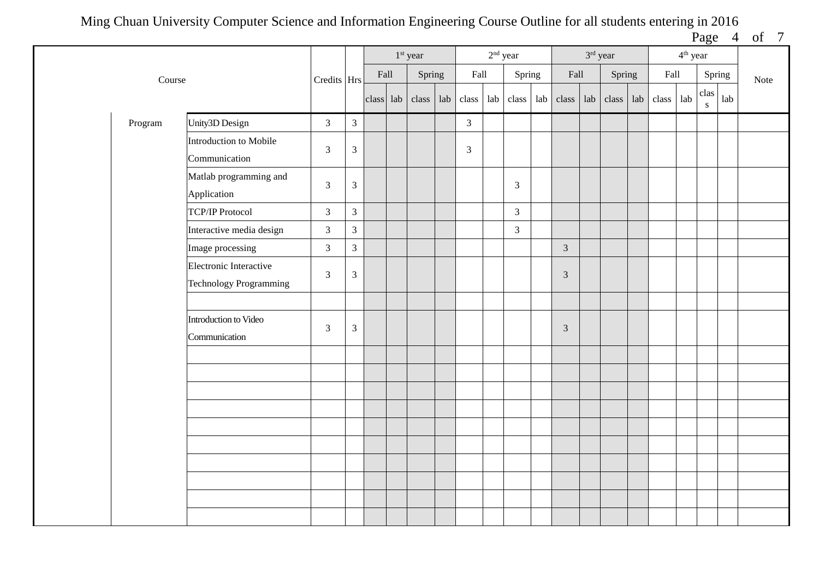Page 4 of 7

|         |                                                         |                |                             |                       | $1st$ year |                | $2^{\rm nd}$ year |                |                                 | 3rd year |           |                       | $4^{\text{th}}$ year |                                                                                                  |     |      |
|---------|---------------------------------------------------------|----------------|-----------------------------|-----------------------|------------|----------------|-------------------|----------------|---------------------------------|----------|-----------|-----------------------|----------------------|--------------------------------------------------------------------------------------------------|-----|------|
| Course  |                                                         | Credits Hrs    |                             | $\operatorname{Fall}$ | Spring     | Fall           |                   | Spring         | Fall                            |          | Spring    | $\operatorname{Fall}$ |                      | Spring                                                                                           |     | Note |
|         |                                                         |                |                             | $class$ lab           | class lab  | class lab      |                   |                | class $ $ lab $ $ class $ $ lab |          | class lab | class                 | lab                  | $\operatorname*{clas}% \left( X\right) \equiv\operatorname*{clas}(\mathbb{R}^{2n})$<br>${\bf S}$ | lab |      |
| Program | Unity3D Design                                          | $\mathfrak{Z}$ | $\mathfrak{Z}$              |                       |            | $\mathfrak{Z}$ |                   |                |                                 |          |           |                       |                      |                                                                                                  |     |      |
|         | Introduction to Mobile<br>Communication                 | 3              | $\overline{3}$              |                       |            | 3              |                   |                |                                 |          |           |                       |                      |                                                                                                  |     |      |
|         | Matlab programming and<br>Application                   | $\mathfrak{Z}$ | $\ensuremath{\mathfrak{Z}}$ |                       |            |                |                   | $\overline{3}$ |                                 |          |           |                       |                      |                                                                                                  |     |      |
|         | <b>TCP/IP Protocol</b>                                  | $\overline{3}$ | $\overline{3}$              |                       |            |                |                   | $\overline{3}$ |                                 |          |           |                       |                      |                                                                                                  |     |      |
|         | Interactive media design                                | $\mathfrak{Z}$ | $\overline{3}$              |                       |            |                |                   | $\mathfrak{Z}$ |                                 |          |           |                       |                      |                                                                                                  |     |      |
|         | Image processing                                        | $\mathfrak{Z}$ | $\overline{3}$              |                       |            |                |                   |                | $\overline{3}$                  |          |           |                       |                      |                                                                                                  |     |      |
|         | Electronic Interactive<br><b>Technology Programming</b> | $\mathfrak{Z}$ | $\mathfrak{Z}$              |                       |            |                |                   |                | $\mathfrak{Z}$                  |          |           |                       |                      |                                                                                                  |     |      |
|         |                                                         |                |                             |                       |            |                |                   |                |                                 |          |           |                       |                      |                                                                                                  |     |      |
|         | Introduction to Video<br>Communication                  | $\mathfrak{Z}$ | $\sqrt{3}$                  |                       |            |                |                   |                | $\mathfrak{Z}$                  |          |           |                       |                      |                                                                                                  |     |      |
|         |                                                         |                |                             |                       |            |                |                   |                |                                 |          |           |                       |                      |                                                                                                  |     |      |
|         |                                                         |                |                             |                       |            |                |                   |                |                                 |          |           |                       |                      |                                                                                                  |     |      |
|         |                                                         |                |                             |                       |            |                |                   |                |                                 |          |           |                       |                      |                                                                                                  |     |      |
|         |                                                         |                |                             |                       |            |                |                   |                |                                 |          |           |                       |                      |                                                                                                  |     |      |
|         |                                                         |                |                             |                       |            |                |                   |                |                                 |          |           |                       |                      |                                                                                                  |     |      |
|         |                                                         |                |                             |                       |            |                |                   |                |                                 |          |           |                       |                      |                                                                                                  |     |      |
|         |                                                         |                |                             |                       |            |                |                   |                |                                 |          |           |                       |                      |                                                                                                  |     |      |
|         |                                                         |                |                             |                       |            |                |                   |                |                                 |          |           |                       |                      |                                                                                                  |     |      |
|         |                                                         |                |                             |                       |            |                |                   |                |                                 |          |           |                       |                      |                                                                                                  |     |      |
|         |                                                         |                |                             |                       |            |                |                   |                |                                 |          |           |                       |                      |                                                                                                  |     |      |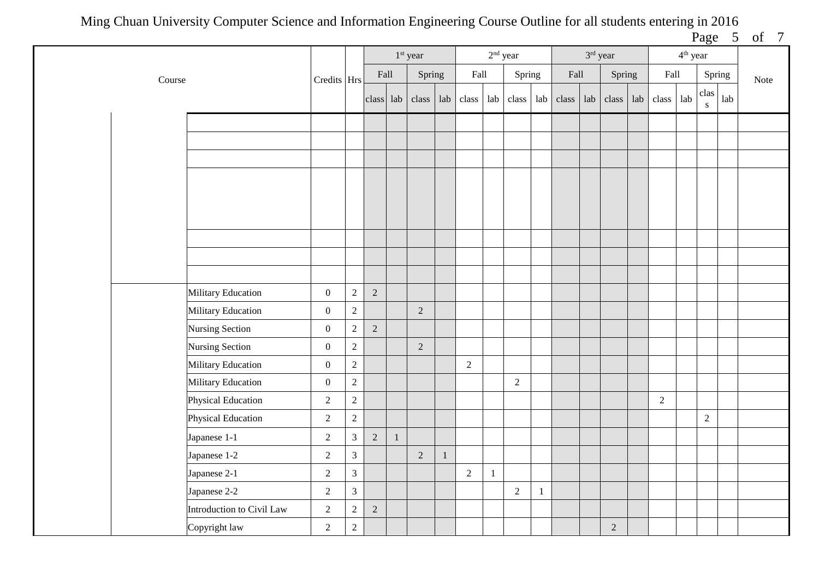|        |                           |                  |                |                |              |                                 |              |                |              |            |              |             |            |                       |                      | $  -$          | -   | $-$  |
|--------|---------------------------|------------------|----------------|----------------|--------------|---------------------------------|--------------|----------------|--------------|------------|--------------|-------------|------------|-----------------------|----------------------|----------------|-----|------|
|        |                           |                  |                |                |              | $1st$ year                      |              |                | $2nd$ year   |            |              |             | 3rd year   |                       | 4 <sup>th</sup> year |                |     |      |
| Course |                           | Credits Hrs      |                | Fall           |              | Spring                          |              | Fall           |              | Spring     |              | Fall        | Spring     | $\operatorname{Fall}$ |                      | Spring         |     | Note |
|        |                           |                  |                |                |              | class $ $ lab $ $ class $ $ lab |              | class          | lab          | class      | lab          | $class$ lab | class lab  | class                 | $1ab$                | clas<br>S      | lab |      |
|        |                           |                  |                |                |              |                                 |              |                |              |            |              |             |            |                       |                      |                |     |      |
|        |                           |                  |                |                |              |                                 |              |                |              |            |              |             |            |                       |                      |                |     |      |
|        |                           |                  |                |                |              |                                 |              |                |              |            |              |             |            |                       |                      |                |     |      |
|        |                           |                  |                |                |              |                                 |              |                |              |            |              |             |            |                       |                      |                |     |      |
|        |                           |                  |                |                |              |                                 |              |                |              |            |              |             |            |                       |                      |                |     |      |
|        |                           |                  |                |                |              |                                 |              |                |              |            |              |             |            |                       |                      |                |     |      |
|        |                           |                  |                |                |              |                                 |              |                |              |            |              |             |            |                       |                      |                |     |      |
|        |                           |                  |                |                |              |                                 |              |                |              |            |              |             |            |                       |                      |                |     |      |
|        |                           |                  |                |                |              |                                 |              |                |              |            |              |             |            |                       |                      |                |     |      |
|        | Military Education        | $\boldsymbol{0}$ | $\overline{2}$ | $\overline{2}$ |              |                                 |              |                |              |            |              |             |            |                       |                      |                |     |      |
|        |                           |                  |                |                |              |                                 |              |                |              |            |              |             |            |                       |                      |                |     |      |
|        | Military Education        | $\boldsymbol{0}$ | $\overline{2}$ |                |              | $\overline{2}$                  |              |                |              |            |              |             |            |                       |                      |                |     |      |
|        | Nursing Section           | $\boldsymbol{0}$ | $\overline{2}$ | $\sqrt{2}$     |              |                                 |              |                |              |            |              |             |            |                       |                      |                |     |      |
|        | Nursing Section           | $\boldsymbol{0}$ | $\sqrt{2}$     |                |              | $\sqrt{2}$                      |              |                |              |            |              |             |            |                       |                      |                |     |      |
|        | <b>Military Education</b> | $\boldsymbol{0}$ | $\overline{2}$ |                |              |                                 |              | $\sqrt{2}$     |              |            |              |             |            |                       |                      |                |     |      |
|        | Military Education        | $\boldsymbol{0}$ | $\overline{c}$ |                |              |                                 |              |                |              | $\sqrt{2}$ |              |             |            |                       |                      |                |     |      |
|        | <b>Physical Education</b> | $\sqrt{2}$       | $\overline{c}$ |                |              |                                 |              |                |              |            |              |             |            | $\overline{2}$        |                      |                |     |      |
|        | <b>Physical Education</b> | $\overline{c}$   | $\overline{2}$ |                |              |                                 |              |                |              |            |              |             |            |                       |                      | $\overline{2}$ |     |      |
|        | Japanese 1-1              | $\sqrt{2}$       | $\overline{3}$ | $\overline{2}$ | $\mathbf{1}$ |                                 |              |                |              |            |              |             |            |                       |                      |                |     |      |
|        | Japanese 1-2              | $\sqrt{2}$       | $\overline{3}$ |                |              | $\sqrt{2}$                      | $\mathbf{1}$ |                |              |            |              |             |            |                       |                      |                |     |      |
|        | Japanese 2-1              | $\sqrt{2}$       | $\overline{3}$ |                |              |                                 |              | $\overline{2}$ | $\mathbf{1}$ |            |              |             |            |                       |                      |                |     |      |
|        | Japanese 2-2              | $\sqrt{2}$       | $\overline{3}$ |                |              |                                 |              |                |              | $\sqrt{2}$ | $\mathbf{1}$ |             |            |                       |                      |                |     |      |
|        | Introduction to Civil Law | $\sqrt{2}$       | $\sqrt{2}$     | $\sqrt{2}$     |              |                                 |              |                |              |            |              |             |            |                       |                      |                |     |      |
|        | Copyright law             | $\sqrt{2}$       | $\sqrt{2}$     |                |              |                                 |              |                |              |            |              |             | $\sqrt{2}$ |                       |                      |                |     |      |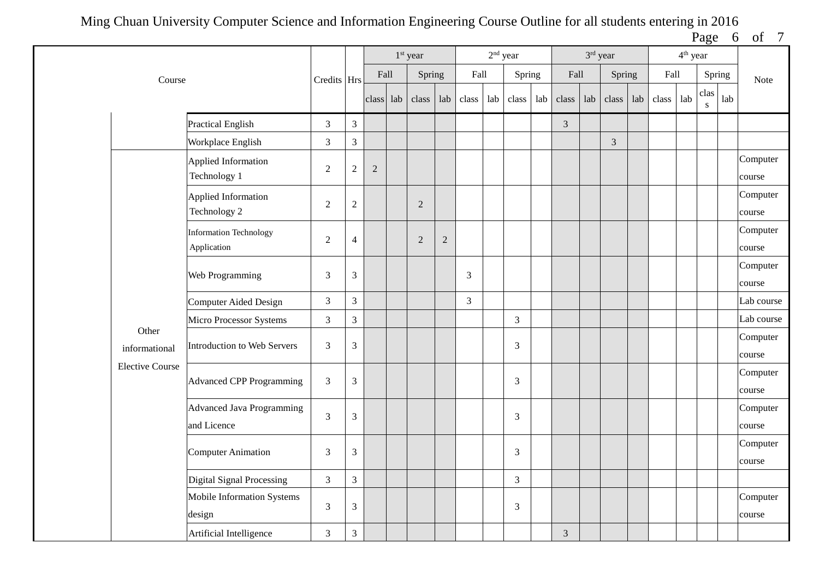| Page | Ωt |  |
|------|----|--|
|      |    |  |

|                        |                                                 |                |                |                | 1 <sup>st</sup> year |            |                |     | $2nd$ year     |     |                | 3rd year |        |     |       | 4 <sup>th</sup> year |                   |        |                    |
|------------------------|-------------------------------------------------|----------------|----------------|----------------|----------------------|------------|----------------|-----|----------------|-----|----------------|----------|--------|-----|-------|----------------------|-------------------|--------|--------------------|
| Course                 |                                                 | Credits Hrs    |                | Fall           | Spring               |            | Fall           |     | Spring         |     | Fall           |          | Spring |     | Fall  |                      |                   | Spring | Note               |
|                        |                                                 |                |                | class lab      | class                | lab        | class          | lab | class          | lab | class          | lab      | class  | lab | class | lab                  | clas<br>${\bf S}$ | lab    |                    |
|                        | Practical English                               | $\mathfrak{Z}$ | $\mathfrak{Z}$ |                |                      |            |                |     |                |     | $\overline{3}$ |          |        |     |       |                      |                   |        |                    |
|                        | Workplace English                               | $\overline{3}$ | $\mathfrak{Z}$ |                |                      |            |                |     |                |     |                |          | 3      |     |       |                      |                   |        |                    |
|                        | Applied Information<br>Technology 1             | $\overline{2}$ | $\sqrt{2}$     | $\overline{2}$ |                      |            |                |     |                |     |                |          |        |     |       |                      |                   |        | Computer<br>course |
|                        | <b>Applied Information</b><br>Technology 2      | $\overline{2}$ | $\sqrt{2}$     |                | $\overline{2}$       |            |                |     |                |     |                |          |        |     |       |                      |                   |        | Computer<br>course |
|                        | <b>Information Technology</b><br>Application    | $\overline{2}$ | $\overline{4}$ |                | $\overline{2}$       | $\sqrt{2}$ |                |     |                |     |                |          |        |     |       |                      |                   |        | Computer<br>course |
|                        | Web Programming                                 | 3              | 3              |                |                      |            | 3              |     |                |     |                |          |        |     |       |                      |                   |        | Computer<br>course |
|                        | Computer Aided Design                           | $\mathfrak{Z}$ | $\overline{3}$ |                |                      |            | $\overline{3}$ |     |                |     |                |          |        |     |       |                      |                   |        | Lab course         |
|                        | Micro Processor Systems                         | $\sqrt{3}$     | $\overline{3}$ |                |                      |            |                |     | $\mathfrak{Z}$ |     |                |          |        |     |       |                      |                   |        | Lab course         |
| Other<br>informational | <b>Introduction to Web Servers</b>              | $\overline{3}$ | $\mathfrak{Z}$ |                |                      |            |                |     | 3              |     |                |          |        |     |       |                      |                   |        | Computer<br>course |
| <b>Elective Course</b> | <b>Advanced CPP Programming</b>                 | $\overline{3}$ | 3              |                |                      |            |                |     | $\overline{3}$ |     |                |          |        |     |       |                      |                   |        | Computer<br>course |
|                        | <b>Advanced Java Programming</b><br>and Licence | $\overline{3}$ | $\mathfrak{Z}$ |                |                      |            |                |     | 3              |     |                |          |        |     |       |                      |                   |        | Computer<br>course |
|                        | <b>Computer Animation</b>                       | $\mathfrak{Z}$ | 3              |                |                      |            |                |     | 3              |     |                |          |        |     |       |                      |                   |        | Computer<br>course |
|                        | <b>Digital Signal Processing</b>                | $\mathfrak{Z}$ | $\mathfrak{Z}$ |                |                      |            |                |     | $\mathfrak{Z}$ |     |                |          |        |     |       |                      |                   |        |                    |
|                        | Mobile Information Systems<br>design            | 3              | $\mathfrak{Z}$ |                |                      |            |                |     | 3              |     |                |          |        |     |       |                      |                   |        | Computer<br>course |
|                        | Artificial Intelligence                         | $\sqrt{3}$     | $\mathfrak{Z}$ |                |                      |            |                |     |                |     | $\mathfrak{Z}$ |          |        |     |       |                      |                   |        |                    |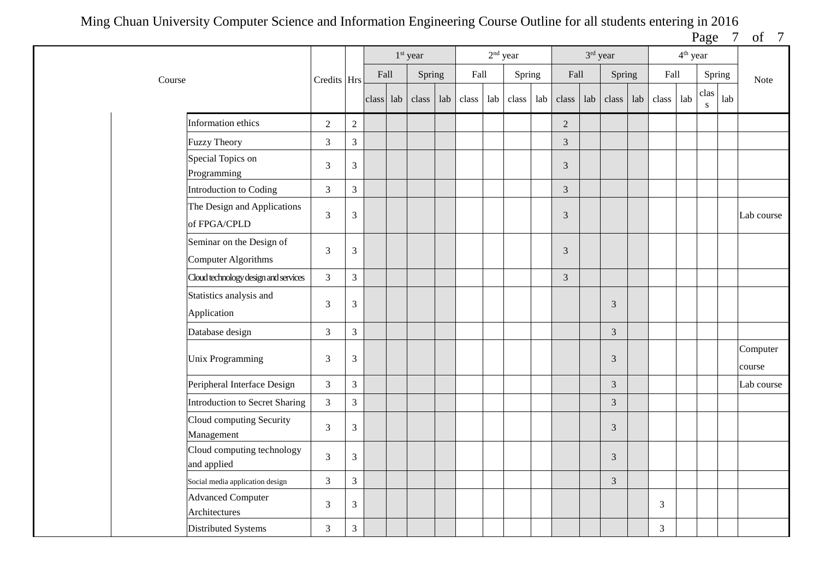Page 7 of 7

|                                                        |                |                |           | $1st$ year |     |       | $2nd$ year |        |     |                | 3rd year |                |     |                | 4 <sup>th</sup> year |           |     |                    |
|--------------------------------------------------------|----------------|----------------|-----------|------------|-----|-------|------------|--------|-----|----------------|----------|----------------|-----|----------------|----------------------|-----------|-----|--------------------|
| Course                                                 | Credits Hrs    |                | Fall      | Spring     |     | Fall  |            | Spring |     | Fall           |          | Spring         |     | Fall           |                      | Spring    |     | <b>Note</b>        |
|                                                        |                |                | class lab | class      | lab | class | lab        | class  | lab | class          | lab      | class          | lab | class          | lab                  | clas<br>S | lab |                    |
| Information ethics                                     | $\overline{2}$ | $\sqrt{2}$     |           |            |     |       |            |        |     | $\overline{2}$ |          |                |     |                |                      |           |     |                    |
| <b>Fuzzy Theory</b>                                    | 3              | $\overline{3}$ |           |            |     |       |            |        |     | $\overline{3}$ |          |                |     |                |                      |           |     |                    |
| Special Topics on<br>Programming                       | $\mathfrak{Z}$ | $\mathfrak{Z}$ |           |            |     |       |            |        |     | $\sqrt{3}$     |          |                |     |                |                      |           |     |                    |
| Introduction to Coding                                 | $\mathfrak{Z}$ | 3              |           |            |     |       |            |        |     | $\mathfrak{Z}$ |          |                |     |                |                      |           |     |                    |
| The Design and Applications<br>of FPGA/CPLD            | 3              | $\mathfrak{Z}$ |           |            |     |       |            |        |     | $\mathfrak{Z}$ |          |                |     |                |                      |           |     | Lab course         |
| Seminar on the Design of<br><b>Computer Algorithms</b> | $\mathfrak{Z}$ | $\mathfrak{Z}$ |           |            |     |       |            |        |     | $\sqrt{3}$     |          |                |     |                |                      |           |     |                    |
| Cloud technology design and services                   | $\mathfrak{Z}$ | $\mathfrak{Z}$ |           |            |     |       |            |        |     | $\mathfrak{Z}$ |          |                |     |                |                      |           |     |                    |
| Statistics analysis and<br>Application                 | $\mathfrak{Z}$ | $\mathfrak{Z}$ |           |            |     |       |            |        |     |                |          | 3              |     |                |                      |           |     |                    |
| Database design                                        | $\mathfrak{Z}$ | 3              |           |            |     |       |            |        |     |                |          | 3              |     |                |                      |           |     |                    |
| <b>Unix Programming</b>                                | 3              | $\mathfrak{Z}$ |           |            |     |       |            |        |     |                |          | 3              |     |                |                      |           |     | Computer<br>course |
| Peripheral Interface Design                            | $\overline{3}$ | $\overline{3}$ |           |            |     |       |            |        |     |                |          | $\overline{3}$ |     |                |                      |           |     | Lab course         |
| <b>Introduction to Secret Sharing</b>                  | $\mathfrak{Z}$ | $\mathfrak{Z}$ |           |            |     |       |            |        |     |                |          | $\mathfrak{Z}$ |     |                |                      |           |     |                    |
| Cloud computing Security<br>Management                 | $\overline{3}$ | 3              |           |            |     |       |            |        |     |                |          | $\overline{3}$ |     |                |                      |           |     |                    |
| Cloud computing technology<br>and applied              | $\overline{3}$ | $\overline{3}$ |           |            |     |       |            |        |     |                |          | $\mathfrak{Z}$ |     |                |                      |           |     |                    |
| Social media application design                        | $\mathfrak{Z}$ | $\mathfrak{Z}$ |           |            |     |       |            |        |     |                |          | $\mathfrak{Z}$ |     |                |                      |           |     |                    |
| <b>Advanced Computer</b><br>Architectures              | 3              | 3              |           |            |     |       |            |        |     |                |          |                |     | 3              |                      |           |     |                    |
| Distributed Systems                                    | $\mathfrak{Z}$ | $\mathfrak{Z}$ |           |            |     |       |            |        |     |                |          |                |     | $\mathfrak{Z}$ |                      |           |     |                    |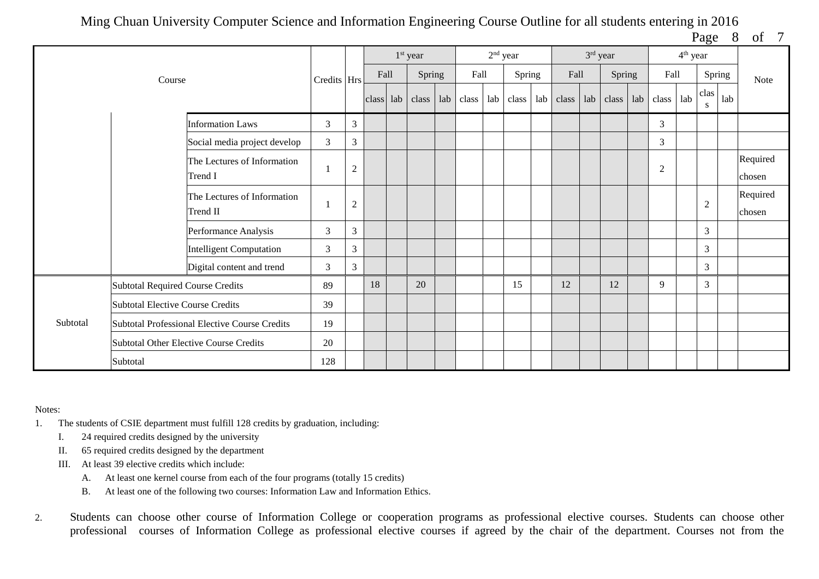| Page | 8 | οf |  |
|------|---|----|--|
|      |   |    |  |

|          |                                         |                                               |             |                |           | $1st$ year |      | $2nd$ year |        |     |      | 3rd year |                 |     |                | $4th$ year |                |        |                    |
|----------|-----------------------------------------|-----------------------------------------------|-------------|----------------|-----------|------------|------|------------|--------|-----|------|----------|-----------------|-----|----------------|------------|----------------|--------|--------------------|
|          | Course                                  |                                               | Credits Hrs |                | Fall      | Spring     | Fall |            | Spring |     | Fall |          | Spring          |     | Fall           |            |                | Spring | Note               |
|          |                                         |                                               |             |                | class lab | class      |      |            | class  | lab |      |          | class lab class | lab | class          | lab        | clas<br>S      | lab    |                    |
|          |                                         | <b>Information Laws</b>                       | 3           | $\mathfrak{Z}$ |           |            |      |            |        |     |      |          |                 |     | 3              |            |                |        |                    |
|          |                                         | Social media project develop                  | 3           | 3              |           |            |      |            |        |     |      |          |                 |     | 3              |            |                |        |                    |
|          |                                         | The Lectures of Information<br>Trend I        |             | $\overline{2}$ |           |            |      |            |        |     |      |          |                 |     | $\mathfrak{2}$ |            |                |        | Required<br>chosen |
|          |                                         | The Lectures of Information<br>Trend II       |             | $\overline{2}$ |           |            |      |            |        |     |      |          |                 |     |                |            | $\overline{2}$ |        | Required<br>chosen |
|          |                                         | Performance Analysis                          | 3           | 3              |           |            |      |            |        |     |      |          |                 |     |                |            | $\overline{3}$ |        |                    |
|          |                                         | <b>Intelligent Computation</b>                | 3           | 3              |           |            |      |            |        |     |      |          |                 |     |                |            | $\mathfrak{Z}$ |        |                    |
|          |                                         | Digital content and trend                     | 3           | 3              |           |            |      |            |        |     |      |          |                 |     |                |            | 3              |        |                    |
|          | <b>Subtotal Required Course Credits</b> |                                               | 89          |                | 18        | 20         |      |            | 15     |     | 12   |          | 12              |     | 9              |            | $\overline{3}$ |        |                    |
|          | <b>Subtotal Elective Course Credits</b> |                                               | 39          |                |           |            |      |            |        |     |      |          |                 |     |                |            |                |        |                    |
| Subtotal |                                         | Subtotal Professional Elective Course Credits | 19          |                |           |            |      |            |        |     |      |          |                 |     |                |            |                |        |                    |
|          |                                         | <b>Subtotal Other Elective Course Credits</b> | 20          |                |           |            |      |            |        |     |      |          |                 |     |                |            |                |        |                    |
|          | Subtotal                                |                                               | 128         |                |           |            |      |            |        |     |      |          |                 |     |                |            |                |        |                    |

## Notes:

- 1. The students of CSIE department must fulfill 128 credits by graduation, including:
	- I. 24 required credits designed by the university
	- II. 65 required credits designed by the department
	- III. At least 39 elective credits which include:
		- A. At least one kernel course from each of the four programs (totally 15 credits)
		- B. At least one of the following two courses: Information Law and Information Ethics.
- 2. Students can choose other course of Information College or cooperation programs as professional elective courses. Students can choose other professional courses of Information College as professional elective courses if agreed by the chair of the department. Courses not from the